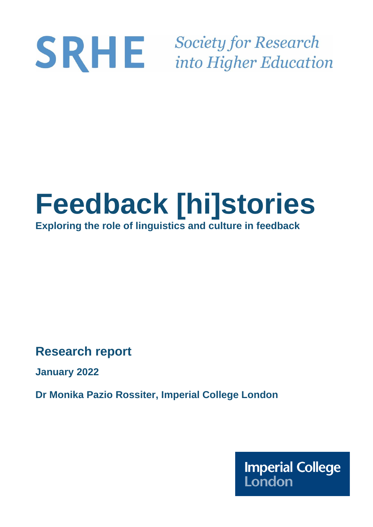# **Society for Research** SRHE into Higher Education

# **Feedback [hi]stories Exploring the role of linguistics and culture in feedback**

**Research report** 

**January 2022**

**Dr Monika Pazio Rossiter, Imperial College London**

**Imperial College** London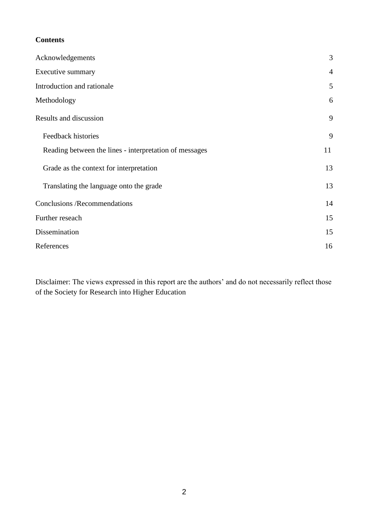# **Contents**

| Acknowledgements                                       | 3              |
|--------------------------------------------------------|----------------|
| Executive summary                                      | $\overline{4}$ |
| Introduction and rationale                             | 5              |
| Methodology                                            | 6              |
| Results and discussion                                 | 9              |
| Feedback histories                                     | 9              |
| Reading between the lines - interpretation of messages | 11             |
| Grade as the context for interpretation                | 13             |
| Translating the language onto the grade                | 13             |
| <b>Conclusions /Recommendations</b>                    | 14             |
| Further reseach                                        | 15             |
| Dissemination                                          | 15             |
| References                                             | 16             |

Disclaimer: The views expressed in this report are the authors' and do not necessarily reflect those of the Society for Research into Higher Education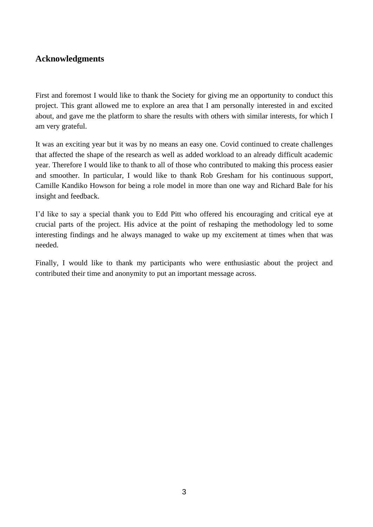# **Acknowledgments**

First and foremost I would like to thank the Society for giving me an opportunity to conduct this project. This grant allowed me to explore an area that I am personally interested in and excited about, and gave me the platform to share the results with others with similar interests, for which I am very grateful.

It was an exciting year but it was by no means an easy one. Covid continued to create challenges that affected the shape of the research as well as added workload to an already difficult academic year. Therefore I would like to thank to all of those who contributed to making this process easier and smoother. In particular, I would like to thank Rob Gresham for his continuous support, Camille Kandiko Howson for being a role model in more than one way and Richard Bale for his insight and feedback.

I'd like to say a special thank you to Edd Pitt who offered his encouraging and critical eye at crucial parts of the project. His advice at the point of reshaping the methodology led to some interesting findings and he always managed to wake up my excitement at times when that was needed.

Finally, I would like to thank my participants who were enthusiastic about the project and contributed their time and anonymity to put an important message across.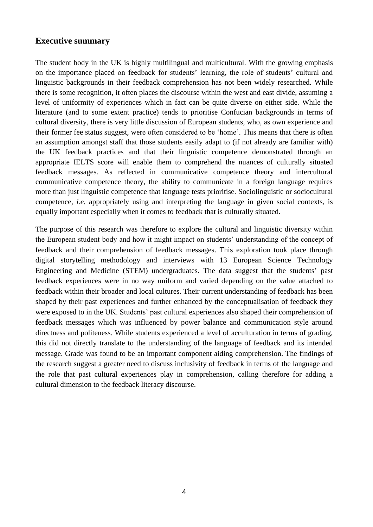# **Executive summary**

The student body in the UK is highly multilingual and multicultural. With the growing emphasis on the importance placed on feedback for students' learning, the role of students' cultural and linguistic backgrounds in their feedback comprehension has not been widely researched. While there is some recognition, it often places the discourse within the west and east divide, assuming a level of uniformity of experiences which in fact can be quite diverse on either side. While the literature (and to some extent practice) tends to prioritise Confucian backgrounds in terms of cultural diversity, there is very little discussion of European students, who, as own experience and their former fee status suggest, were often considered to be 'home'. This means that there is often an assumption amongst staff that those students easily adapt to (if not already are familiar with) the UK feedback practices and that their linguistic competence demonstrated through an appropriate IELTS score will enable them to comprehend the nuances of culturally situated feedback messages. As reflected in communicative competence theory and intercultural communicative competence theory, the ability to communicate in a foreign language requires more than just linguistic competence that language tests prioritise. Sociolinguistic or sociocultural competence, *i.e.* appropriately using and interpreting the language in given social contexts, is equally important especially when it comes to feedback that is culturally situated.

The purpose of this research was therefore to explore the cultural and linguistic diversity within the European student body and how it might impact on students' understanding of the concept of feedback and their comprehension of feedback messages. This exploration took place through digital storytelling methodology and interviews with 13 European Science Technology Engineering and Medicine (STEM) undergraduates. The data suggest that the students' past feedback experiences were in no way uniform and varied depending on the value attached to feedback within their broader and local cultures. Their current understanding of feedback has been shaped by their past experiences and further enhanced by the conceptualisation of feedback they were exposed to in the UK. Students' past cultural experiences also shaped their comprehension of feedback messages which was influenced by power balance and communication style around directness and politeness. While students experienced a level of acculturation in terms of grading, this did not directly translate to the understanding of the language of feedback and its intended message. Grade was found to be an important component aiding comprehension. The findings of the research suggest a greater need to discuss inclusivity of feedback in terms of the language and the role that past cultural experiences play in comprehension, calling therefore for adding a cultural dimension to the feedback literacy discourse.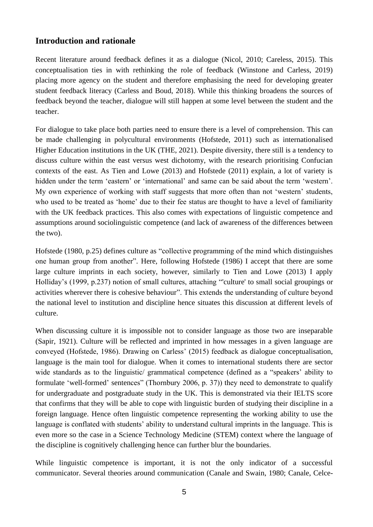# **Introduction and rationale**

Recent literature around feedback defines it as a dialogue (Nicol, 2010; Careless, 2015). This conceptualisation ties in with rethinking the role of feedback (Winstone and Carless, 2019) placing more agency on the student and therefore emphasising the need for developing greater student feedback literacy (Carless and Boud, 2018). While this thinking broadens the sources of feedback beyond the teacher, dialogue will still happen at some level between the student and the teacher.

For dialogue to take place both parties need to ensure there is a level of comprehension. This can be made challenging in polycultural environments (Hofstede, 2011) such as internationalised Higher Education institutions in the UK (THE, 2021). Despite diversity, there still is a tendency to discuss culture within the east versus west dichotomy, with the research prioritising Confucian contexts of the east. As Tien and Lowe (2013) and Hofstede (2011) explain, a lot of variety is hidden under the term 'eastern' or 'international' and same can be said about the term 'western'. My own experience of working with staff suggests that more often than not 'western' students, who used to be treated as 'home' due to their fee status are thought to have a level of familiarity with the UK feedback practices. This also comes with expectations of linguistic competence and assumptions around sociolinguistic competence (and lack of awareness of the differences between the two).

Hofstede (1980, p.25) defines culture as "collective programming of the mind which distinguishes one human group from another". Here, following Hofstede (1986) I accept that there are some large culture imprints in each society, however, similarly to Tien and Lowe (2013) I apply Holliday's (1999, p.237) notion of small cultures, attaching "'culture' to small social groupings or activities wherever there is cohesive behaviour". This extends the understanding of culture beyond the national level to institution and discipline hence situates this discussion at different levels of culture.

When discussing culture it is impossible not to consider language as those two are inseparable (Sapir, 1921). Culture will be reflected and imprinted in how messages in a given language are conveyed (Hofstede, 1986). Drawing on Carless' (2015) feedback as dialogue conceptualisation, language is the main tool for dialogue. When it comes to international students there are sector wide standards as to the linguistic/ grammatical competence (defined as a "speakers' ability to formulate 'well-formed' sentences" (Thornbury 2006, p. 37)) they need to demonstrate to qualify for undergraduate and postgraduate study in the UK. This is demonstrated via their IELTS score that confirms that they will be able to cope with linguistic burden of studying their discipline in a foreign language. Hence often linguistic competence representing the working ability to use the language is conflated with students' ability to understand cultural imprints in the language. This is even more so the case in a Science Technology Medicine (STEM) context where the language of the discipline is cognitively challenging hence can further blur the boundaries.

While linguistic competence is important, it is not the only indicator of a successful communicator. Several theories around communication (Canale and Swain, 1980; Canale, Celce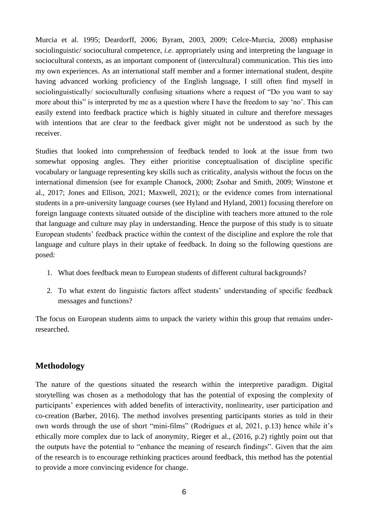Murcia et al. 1995; Deardorff, 2006; Byram, 2003, 2009; Celce-Murcia, 2008) emphasise sociolinguistic/ sociocultural competence, *i.e*. appropriately using and interpreting the language in sociocultural contexts, as an important component of (intercultural) communication. This ties into my own experiences. As an international staff member and a former international student, despite having advanced working proficiency of the English language, I still often find myself in sociolinguistically/ socioculturally confusing situations where a request of "Do you want to say more about this" is interpreted by me as a question where I have the freedom to say 'no'. This can easily extend into feedback practice which is highly situated in culture and therefore messages with intentions that are clear to the feedback giver might not be understood as such by the receiver.

Studies that looked into comprehension of feedback tended to look at the issue from two somewhat opposing angles. They either prioritise conceptualisation of discipline specific vocabulary or language representing key skills such as criticality, analysis without the focus on the international dimension (see for example Chanock, 2000; Zsohar and Smith, 2009; Winstone et al., 2017; Jones and Ellison, 2021; Maxwell, 2021); or the evidence comes from international students in a pre-university language courses (see Hyland and Hyland, 2001) focusing therefore on foreign language contexts situated outside of the discipline with teachers more attuned to the role that language and culture may play in understanding. Hence the purpose of this study is to situate European students' feedback practice within the context of the discipline and explore the role that language and culture plays in their uptake of feedback. In doing so the following questions are posed:

- 1. What does feedback mean to European students of different cultural backgrounds?
- 2. To what extent do linguistic factors affect students' understanding of specific feedback messages and functions?

The focus on European students aims to unpack the variety within this group that remains underresearched.

# **Methodology**

The nature of the questions situated the research within the interpretive paradigm. Digital storytelling was chosen as a methodology that has the potential of exposing the complexity of participants' experiences with added benefits of interactivity, nonlinearity, user participation and co-creation (Barber, 2016). The method involves presenting participants stories as told in their own words through the use of short "mini-films" (Rodrigues et al, 2021, p.13) hence while it's ethically more complex due to lack of anonymity, Rieger et al., (2016, p.2) rightly point out that the outputs have the potential to "enhance the meaning of research findings". Given that the aim of the research is to encourage rethinking practices around feedback, this method has the potential to provide a more convincing evidence for change.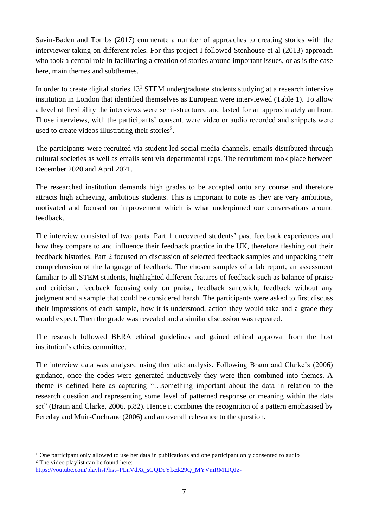Savin-Baden and Tombs (2017) enumerate a number of approaches to creating stories with the interviewer taking on different roles. For this project I followed Stenhouse et al (2013) approach who took a central role in facilitating a creation of stories around important issues, or as is the case here, main themes and subthemes.

In order to create digital stories  $13<sup>1</sup>$  STEM undergraduate students studying at a research intensive institution in London that identified themselves as European were interviewed (Table 1). To allow a level of flexibility the interviews were semi-structured and lasted for an approximately an hour. Those interviews, with the participants' consent, were video or audio recorded and snippets were used to create videos illustrating their stories<sup>2</sup>.

The participants were recruited via student led social media channels, emails distributed through cultural societies as well as emails sent via departmental reps. The recruitment took place between December 2020 and April 2021.

The researched institution demands high grades to be accepted onto any course and therefore attracts high achieving, ambitious students. This is important to note as they are very ambitious, motivated and focused on improvement which is what underpinned our conversations around feedback.

The interview consisted of two parts. Part 1 uncovered students' past feedback experiences and how they compare to and influence their feedback practice in the UK, therefore fleshing out their feedback histories. Part 2 focused on discussion of selected feedback samples and unpacking their comprehension of the language of feedback. The chosen samples of a lab report, an assessment familiar to all STEM students, highlighted different features of feedback such as balance of praise and criticism, feedback focusing only on praise, feedback sandwich, feedback without any judgment and a sample that could be considered harsh. The participants were asked to first discuss their impressions of each sample, how it is understood, action they would take and a grade they would expect. Then the grade was revealed and a similar discussion was repeated.

The research followed BERA ethical guidelines and gained ethical approval from the host institution's ethics committee.

The interview data was analysed using thematic analysis. Following Braun and Clarke's (2006) guidance, once the codes were generated inductively they were then combined into themes. A theme is defined here as capturing "…something important about the data in relation to the research question and representing some level of patterned response or meaning within the data set" (Braun and Clarke, 2006, p.82). Hence it combines the recognition of a pattern emphasised by Fereday and Muir-Cochrane (2006) and an overall relevance to the question.

<sup>&</sup>lt;sup>1</sup> One participant only allowed to use her data in publications and one participant only consented to audio <sup>2</sup> The video playlist can be found here:

https://voutube.com/playlist?list=PLnVdXt\_sGODeYlxzk290\_MYVmRM1JOJz-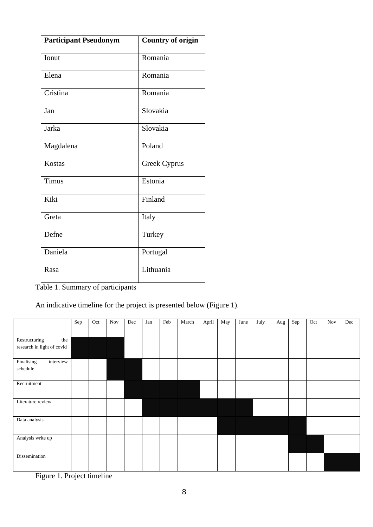| <b>Participant Pseudonym</b> | <b>Country of origin</b> |
|------------------------------|--------------------------|
| Ionut                        | Romania                  |
| Elena                        | Romania                  |
| Cristina                     | Romania                  |
| Jan                          | Slovakia                 |
| Jarka                        | Slovakia                 |
| Magdalena                    | Poland                   |
| <b>Kostas</b>                | Greek Cyprus             |
| Timus                        | Estonia                  |
| Kiki                         | Finland                  |
| Greta                        | Italy                    |
| Defne                        | Turkey                   |
| Daniela                      | Portugal                 |
| Rasa                         | Lithuania                |

Table 1. Summary of participants

An indicative timeline for the project is presented below (Figure 1).

|                            | Sep | Oct | $\operatorname{Nov}$ | Dec | Jan | Feb | March | April | May | June | July | Aug | Sep | Oct | <b>Nov</b> | Dec |
|----------------------------|-----|-----|----------------------|-----|-----|-----|-------|-------|-----|------|------|-----|-----|-----|------------|-----|
|                            |     |     |                      |     |     |     |       |       |     |      |      |     |     |     |            |     |
| Restructuring<br>the       |     |     |                      |     |     |     |       |       |     |      |      |     |     |     |            |     |
| research in light of covid |     |     |                      |     |     |     |       |       |     |      |      |     |     |     |            |     |
| Finalising<br>interview    |     |     |                      |     |     |     |       |       |     |      |      |     |     |     |            |     |
| schedule                   |     |     |                      |     |     |     |       |       |     |      |      |     |     |     |            |     |
| Recruitment                |     |     |                      |     |     |     |       |       |     |      |      |     |     |     |            |     |
|                            |     |     |                      |     |     |     |       |       |     |      |      |     |     |     |            |     |
| Literature review          |     |     |                      |     |     |     |       |       |     |      |      |     |     |     |            |     |
| Data analysis              |     |     |                      |     |     |     |       |       |     |      |      |     |     |     |            |     |
|                            |     |     |                      |     |     |     |       |       |     |      |      |     |     |     |            |     |
| Analysis write up          |     |     |                      |     |     |     |       |       |     |      |      |     |     |     |            |     |
|                            |     |     |                      |     |     |     |       |       |     |      |      |     |     |     |            |     |
| Dissemination              |     |     |                      |     |     |     |       |       |     |      |      |     |     |     |            |     |
|                            |     |     |                      |     |     |     |       |       |     |      |      |     |     |     |            |     |

Figure 1. Project timeline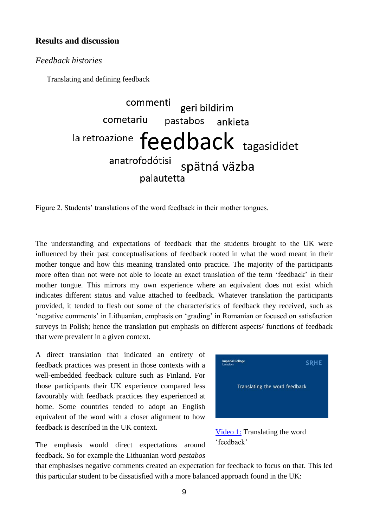# **Results and discussion**

## *Feedback histories*

Translating and defining feedback

commenti geri bildirim cometariu pastabos ankieta la retroazione feedback tagasididet anatrofodótisi spätná väzba palautetta

Figure 2. Students' translations of the word feedback in their mother tongues.

The understanding and expectations of feedback that the students brought to the UK were influenced by their past conceptualisations of feedback rooted in what the word meant in their mother tongue and how this meaning translated onto practice. The majority of the participants more often than not were not able to locate an exact translation of the term 'feedback' in their mother tongue. This mirrors my own experience where an equivalent does not exist which indicates different status and value attached to feedback. Whatever translation the participants provided, it tended to flesh out some of the characteristics of feedback they received, such as 'negative comments' in Lithuanian, emphasis on 'grading' in Romanian or focused on satisfaction surveys in Polish; hence the translation put emphasis on different aspects/ functions of feedback that were prevalent in a given context.

A direct translation that indicated an entirety of feedback practices was present in those contexts with a well-embedded feedback culture such as Finland. For those participants their UK experience compared less favourably with feedback practices they experienced at home. Some countries tended to adopt an English equivalent of the word with a closer alignment to how feedback is described in the UK context.

The emphasis would direct expectations around feedback. So for example the Lithuanian word *pastabos*





that emphasises negative comments created an expectation for feedback to focus on that. This led this particular student to be dissatisfied with a more balanced approach found in the UK: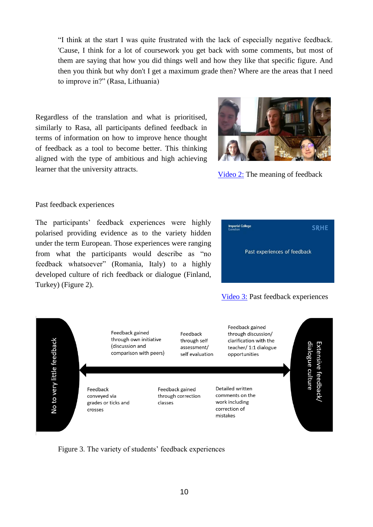"I think at the start I was quite frustrated with the lack of especially negative feedback. 'Cause, I think for a lot of coursework you get back with some comments, but most of them are saying that how you did things well and how they like that specific figure. And then you think but why don't I get a maximum grade then? Where are the areas that I need to improve in?" (Rasa, Lithuania)

Regardless of the translation and what is prioritised, similarly to Rasa, all participants defined feedback in terms of information on how to improve hence thought of feedback as a tool to become better. This thinking aligned with the type of ambitious and high achieving learner that the university attracts.



[Video 2:](https://www.youtube.com/watch?v=kcqlf8sm1ms) The meaning of feedback

#### Past feedback experiences

The participants' feedback experiences were highly polarised providing evidence as to the variety hidden under the term European. Those experiences were ranging from what the participants would describe as "no feedback whatsoever" (Romania, Italy) to a highly developed culture of rich feedback or dialogue (Finland, Turkey) (Figure 2).

| <b>Imperial College</b><br>London | <b>SRHE</b> |  |  |  |  |  |
|-----------------------------------|-------------|--|--|--|--|--|
| Past experiences of feedback      |             |  |  |  |  |  |
|                                   |             |  |  |  |  |  |





Figure 3. The variety of students' feedback experiences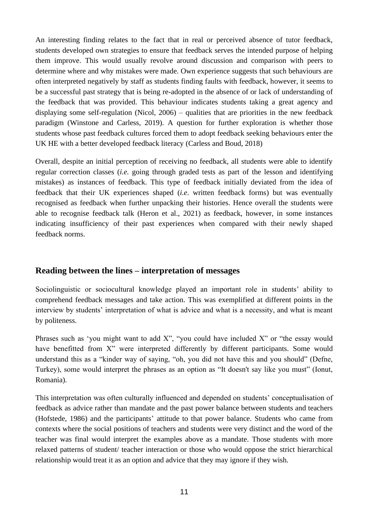An interesting finding relates to the fact that in real or perceived absence of tutor feedback, students developed own strategies to ensure that feedback serves the intended purpose of helping them improve. This would usually revolve around discussion and comparison with peers to determine where and why mistakes were made. Own experience suggests that such behaviours are often interpreted negatively by staff as students finding faults with feedback, however, it seems to be a successful past strategy that is being re-adopted in the absence of or lack of understanding of the feedback that was provided. This behaviour indicates students taking a great agency and displaying some self-regulation (Nicol, 2006) – qualities that are priorities in the new feedback paradigm (Winstone and Carless, 2019). A question for further exploration is whether those students whose past feedback cultures forced them to adopt feedback seeking behaviours enter the UK HE with a better developed feedback literacy (Carless and Boud, 2018)

Overall, despite an initial perception of receiving no feedback, all students were able to identify regular correction classes (*i.e.* going through graded tests as part of the lesson and identifying mistakes) as instances of feedback. This type of feedback initially deviated from the idea of feedback that their UK experiences shaped (*i.e*. written feedback forms) but was eventually recognised as feedback when further unpacking their histories. Hence overall the students were able to recognise feedback talk (Heron et al., 2021) as feedback, however, in some instances indicating insufficiency of their past experiences when compared with their newly shaped feedback norms.

# **Reading between the lines – interpretation of messages**

Sociolinguistic or sociocultural knowledge played an important role in students' ability to comprehend feedback messages and take action. This was exemplified at different points in the interview by students' interpretation of what is advice and what is a necessity, and what is meant by politeness.

Phrases such as 'you might want to add X", "you could have included X" or "the essay would have benefitted from X" were interpreted differently by different participants. Some would understand this as a "kinder way of saying, "oh, you did not have this and you should" (Defne, Turkey), some would interpret the phrases as an option as "It doesn't say like you must" (Ionut, Romania).

This interpretation was often culturally influenced and depended on students' conceptualisation of feedback as advice rather than mandate and the past power balance between students and teachers (Hofstede, 1986) and the participants' attitude to that power balance. Students who came from contexts where the social positions of teachers and students were very distinct and the word of the teacher was final would interpret the examples above as a mandate. Those students with more relaxed patterns of student/ teacher interaction or those who would oppose the strict hierarchical relationship would treat it as an option and advice that they may ignore if they wish.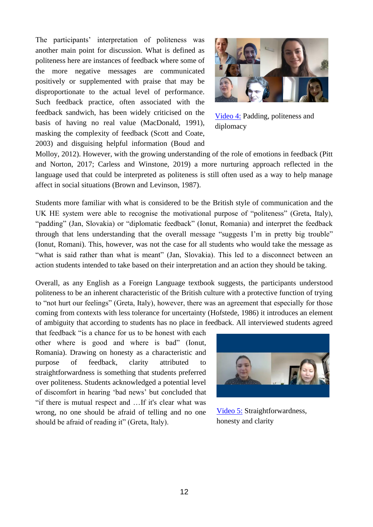The participants' interpretation of politeness was another main point for discussion. What is defined as politeness here are instances of feedback where some of the more negative messages are communicated positively or supplemented with praise that may be disproportionate to the actual level of performance. Such feedback practice, often associated with the feedback sandwich, has been widely criticised on the basis of having no real value (MacDonald, 1991), masking the complexity of feedback (Scott and Coate, 2003) and disguising helpful information (Boud and



[Video 4:](https://www.youtube.com/watch?v=XGQ_RORzPCY) Padding, politeness and diplomacy

Molloy, 2012). However, with the growing understanding of the role of emotions in feedback (Pitt and Norton, 2017; Carless and Winstone, 2019) a more nurturing approach reflected in the language used that could be interpreted as politeness is still often used as a way to help manage affect in social situations (Brown and Levinson, 1987).

Students more familiar with what is considered to be the British style of communication and the UK HE system were able to recognise the motivational purpose of "politeness" (Greta, Italy), "padding" (Jan, Slovakia) or "diplomatic feedback" (Ionut, Romania) and interpret the feedback through that lens understanding that the overall message "suggests I'm in pretty big trouble" (Ionut, Romani). This, however, was not the case for all students who would take the message as "what is said rather than what is meant" (Jan, Slovakia). This led to a disconnect between an action students intended to take based on their interpretation and an action they should be taking.

Overall, as any English as a Foreign Language textbook suggests, the participants understood politeness to be an inherent characteristic of the British culture with a protective function of trying to "not hurt our feelings" (Greta, Italy), however, there was an agreement that especially for those coming from contexts with less tolerance for uncertainty (Hofstede, 1986) it introduces an element of ambiguity that according to students has no place in feedback. All interviewed students agreed

that feedback "is a chance for us to be honest with each other where is good and where is bad" (Ionut, Romania). Drawing on honesty as a characteristic and purpose of feedback, clarity attributed to straightforwardness is something that students preferred over politeness. Students acknowledged a potential level of discomfort in hearing 'bad news' but concluded that "if there is mutual respect and …If it's clear what was wrong, no one should be afraid of telling and no one should be afraid of reading it" (Greta, Italy).



[Video 5:](https://www.youtube.com/watch?v=qM4CgFziJhs) Straightforwardness, honesty and clarity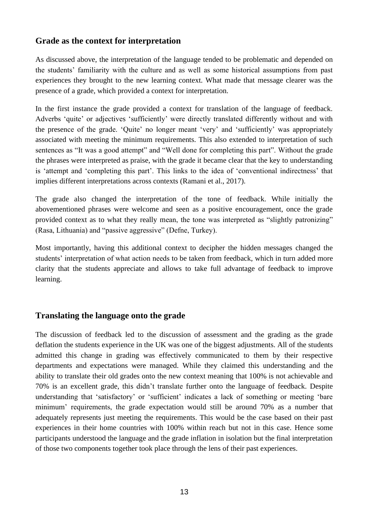# **Grade as the context for interpretation**

As discussed above, the interpretation of the language tended to be problematic and depended on the students' familiarity with the culture and as well as some historical assumptions from past experiences they brought to the new learning context. What made that message clearer was the presence of a grade, which provided a context for interpretation.

In the first instance the grade provided a context for translation of the language of feedback. Adverbs 'quite' or adjectives 'sufficiently' were directly translated differently without and with the presence of the grade. 'Quite' no longer meant 'very' and 'sufficiently' was appropriately associated with meeting the minimum requirements. This also extended to interpretation of such sentences as "It was a good attempt" and "Well done for completing this part". Without the grade the phrases were interpreted as praise, with the grade it became clear that the key to understanding is 'attempt and 'completing this part'. This links to the idea of 'conventional indirectness' that implies different interpretations across contexts (Ramani et al., 2017).

The grade also changed the interpretation of the tone of feedback. While initially the abovementioned phrases were welcome and seen as a positive encouragement, once the grade provided context as to what they really mean, the tone was interpreted as "slightly patronizing" (Rasa, Lithuania) and "passive aggressive" (Defne, Turkey).

Most importantly, having this additional context to decipher the hidden messages changed the students' interpretation of what action needs to be taken from feedback, which in turn added more clarity that the students appreciate and allows to take full advantage of feedback to improve learning.

# **Translating the language onto the grade**

The discussion of feedback led to the discussion of assessment and the grading as the grade deflation the students experience in the UK was one of the biggest adjustments. All of the students admitted this change in grading was effectively communicated to them by their respective departments and expectations were managed. While they claimed this understanding and the ability to translate their old grades onto the new context meaning that 100% is not achievable and 70% is an excellent grade, this didn't translate further onto the language of feedback. Despite understanding that 'satisfactory' or 'sufficient' indicates a lack of something or meeting 'bare minimum' requirements, the grade expectation would still be around 70% as a number that adequately represents just meeting the requirements. This would be the case based on their past experiences in their home countries with 100% within reach but not in this case. Hence some participants understood the language and the grade inflation in isolation but the final interpretation of those two components together took place through the lens of their past experiences.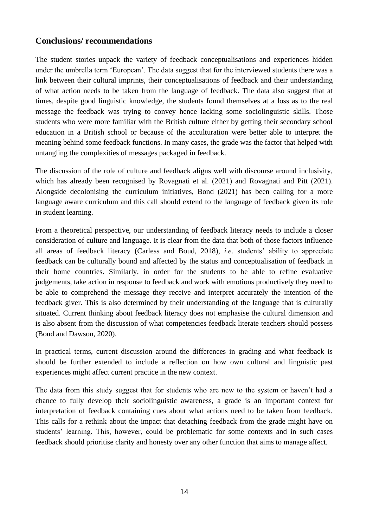# **Conclusions/ recommendations**

The student stories unpack the variety of feedback conceptualisations and experiences hidden under the umbrella term 'European'. The data suggest that for the interviewed students there was a link between their cultural imprints, their conceptualisations of feedback and their understanding of what action needs to be taken from the language of feedback. The data also suggest that at times, despite good linguistic knowledge, the students found themselves at a loss as to the real message the feedback was trying to convey hence lacking some sociolinguistic skills. Those students who were more familiar with the British culture either by getting their secondary school education in a British school or because of the acculturation were better able to interpret the meaning behind some feedback functions. In many cases, the grade was the factor that helped with untangling the complexities of messages packaged in feedback.

The discussion of the role of culture and feedback aligns well with discourse around inclusivity, which has already been recognised by Rovagnati et al. (2021) and Rovagnati and Pitt (2021). Alongside decolonising the curriculum initiatives, Bond (2021) has been calling for a more language aware curriculum and this call should extend to the language of feedback given its role in student learning.

From a theoretical perspective, our understanding of feedback literacy needs to include a closer consideration of culture and language. It is clear from the data that both of those factors influence all areas of feedback literacy (Carless and Boud, 2018), *i.e*. students' ability to appreciate feedback can be culturally bound and affected by the status and conceptualisation of feedback in their home countries. Similarly, in order for the students to be able to refine evaluative judgements, take action in response to feedback and work with emotions productively they need to be able to comprehend the message they receive and interpret accurately the intention of the feedback giver. This is also determined by their understanding of the language that is culturally situated. Current thinking about feedback literacy does not emphasise the cultural dimension and is also absent from the discussion of what competencies feedback literate teachers should possess (Boud and Dawson, 2020).

In practical terms, current discussion around the differences in grading and what feedback is should be further extended to include a reflection on how own cultural and linguistic past experiences might affect current practice in the new context.

The data from this study suggest that for students who are new to the system or haven't had a chance to fully develop their sociolinguistic awareness, a grade is an important context for interpretation of feedback containing cues about what actions need to be taken from feedback. This calls for a rethink about the impact that detaching feedback from the grade might have on students' learning. This, however, could be problematic for some contexts and in such cases feedback should prioritise clarity and honesty over any other function that aims to manage affect.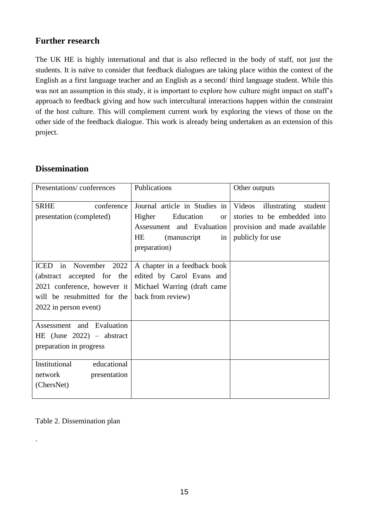# **Further research**

The UK HE is highly international and that is also reflected in the body of staff, not just the students. It is naïve to consider that feedback dialogues are taking place within the context of the English as a first language teacher and an English as a second/ third language student. While this was not an assumption in this study, it is important to explore how culture might impact on staff's approach to feedback giving and how such intercultural interactions happen within the constraint of the host culture. This will complement current work by exploring the views of those on the other side of the feedback dialogue. This work is already being undertaken as an extension of this project.

# **Dissemination**

| Presentations/conferences                                                                       | Publications                                                                                                                              | Other outputs                                                                                                        |
|-------------------------------------------------------------------------------------------------|-------------------------------------------------------------------------------------------------------------------------------------------|----------------------------------------------------------------------------------------------------------------------|
| <b>SRHE</b><br>conference<br>presentation (completed)                                           | Journal article in Studies in<br>Higher<br>Education<br><b>or</b><br>Assessment and Evaluation<br><i>(manuscript</i> )<br><b>HE</b><br>in | Videos<br>illustrating<br>student<br>stories to be embedded into<br>provision and made available<br>publicly for use |
|                                                                                                 | preparation)                                                                                                                              |                                                                                                                      |
| <b>ICED</b><br>in<br>November 2022<br>(abstract accepted for the<br>2021 conference, however it | A chapter in a feedback book<br>edited by Carol Evans and<br>Michael Warring (draft came                                                  |                                                                                                                      |
| will be resubmitted for the<br>2022 in person event)                                            | back from review)                                                                                                                         |                                                                                                                      |
| Assessment and Evaluation<br>HE (June $2022$ ) – abstract<br>preparation in progress            |                                                                                                                                           |                                                                                                                      |
| Institutional<br>educational<br>presentation<br>network<br>(ChersNet)                           |                                                                                                                                           |                                                                                                                      |

Table 2. Dissemination plan

.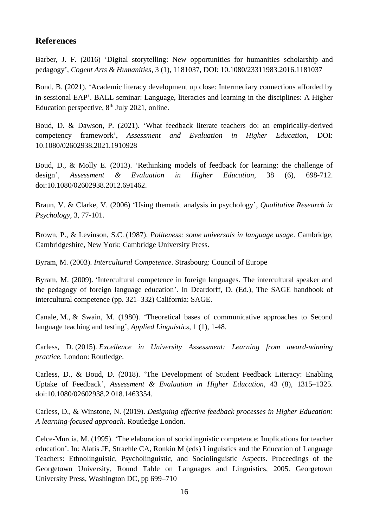# **References**

Barber, J. F. (2016) 'Digital storytelling: New opportunities for humanities scholarship and pedagogy', *Cogent Arts & Humanities*, 3 (1), 1181037, DOI: 10.1080/23311983.2016.1181037

Bond, B. (2021). 'Academic literacy development up close: Intermediary connections afforded by in-sessional EAP'. BALL seminar: Language, literacies and learning in the disciplines: A Higher Education perspective,  $8<sup>th</sup>$  July 2021, online.

Boud, D. & Dawson, P. (2021). 'What feedback literate teachers do: an empirically-derived competency framework', *Assessment and Evaluation in Higher Education*, DOI: 10.1080/02602938.2021.1910928

Boud, D., & Molly E. (2013). 'Rethinking models of feedback for learning: the challenge of design', *Assessment & Evaluation in Higher Education*, 38 (6), 698-712. doi:10.1080/02602938.2012.691462.

Braun, V. & Clarke, V. (2006) 'Using thematic analysis in psychology', *Qualitative Research in Psychology,* 3, 77-101.

Brown, P., & Levinson, S.C. (1987). *Politeness: some universals in language usage*. Cambridge, Cambridgeshire, New York: Cambridge University Press.

Byram, M. (2003). *Intercultural Competence*. Strasbourg: Council of Europe

Byram, M. (2009). 'Intercultural competence in foreign languages. The intercultural speaker and the pedagogy of foreign language education'. In Deardorff, D. (Ed.), The SAGE handbook of intercultural competence (pp. 321–332) California: SAGE.

Canale, M., & Swain, M. (1980). 'Theoretical bases of communicative approaches to Second language teaching and testing', *Applied Linguistics*, 1 (1), 1-48.

Carless, D. (2015). *Excellence in University Assessment: Learning from award-winning practice.* London: Routledge.

Carless, D., & Boud, D. (2018). 'The Development of Student Feedback Literacy: Enabling Uptake of Feedback', *Assessment & Evaluation in Higher Education,* 43 (8), 1315–1325. doi:10.1080/02602938.2 018.1463354.

Carless, D., & Winstone, N. (2019). *Designing effective feedback processes in Higher Education: A learning-focused approach*. Routledge London.

Celce-Murcia, M. (1995). 'The elaboration of sociolinguistic competence: Implications for teacher education'. In: Alatis JE, Straehle CA, Ronkin M (eds) Linguistics and the Education of Language Teachers: Ethnolinguistic, Psycholinguistic, and Sociolinguistic Aspects. Proceedings of the Georgetown University, Round Table on Languages and Linguistics, 2005. Georgetown University Press, Washington DC, pp 699–710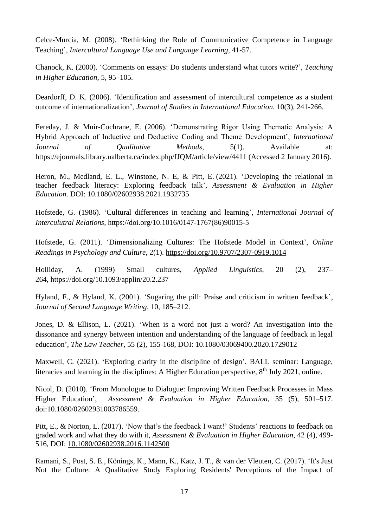Celce-Murcia, M. (2008). 'Rethinking the Role of Communicative Competence in Language Teaching', *Intercultural Language Use and Language Learning*, 41-57.

Chanock, K. (2000). 'Comments on essays: Do students understand what tutors write?', *Teaching in Higher Education*, 5, 95–105.

Deardorff, D. K. (2006). 'Identification and assessment of intercultural competence as a student outcome of internationalization', *Journal of Studies in International Education.* 10(3), 241-266.

Fereday, J. & Muir-Cochrane, E. (2006). 'Demonstrating Rigor Using Thematic Analysis: A Hybrid Approach of Inductive and Deductive Coding and Theme Development', *International Journal of Qualitative Methods*, 5(1). Available at: https://ejournals.library.ualberta.ca/index.php/IJQM/article/view/4411 (Accessed 2 January 2016).

Heron, M., Medland, E. L., Winstone, N. E, & Pitt, E. (2021). ['Developing the relational in](https://openresearch.surrey.ac.uk/permalink/44SUR_INST/15d8lgh/alma99555923102346)  [teacher feedback literacy: Exploring feedback talk'](https://openresearch.surrey.ac.uk/permalink/44SUR_INST/15d8lgh/alma99555923102346), *Assessment & Evaluation in Higher Education*. [DOI: 10.1080/02602938.2021.1932735](https://dx.doi.org/10.1080/02602938.2021.1932735)

Hofstede, G. (1986). 'Cultural differences in teaching and learning', *International Journal of Interculutral Relations,* [https://doi.org/10.1016/0147-1767\(86\)90015-5](https://doi.org/10.1016/0147-1767(86)90015-5)

Hofstede, G. (2011). 'Dimensionalizing Cultures: The Hofstede Model in Context', *Online Readings in Psychology and Culture*, 2(1).<https://doi.org/10.9707/2307-0919.1014>

Holliday, A. (1999) Small cultures, *Applied Linguistics*, 20 (2), 237– 264, <https://doi.org/10.1093/applin/20.2.237>

Hyland, F., & Hyland, K. (2001). 'Sugaring the pill: Praise and criticism in written feedback', *Journal of Second Language Writing*, 10, 185–212.

Jones, D. & Ellison, L. (2021). 'When is a word not just a word? An investigation into the dissonance and synergy between intention and understanding of the language of feedback in legal education', *The Law Teacher*, 55 (2), 155-168, DOI: 10.1080/03069400.2020.1729012

Maxwell, C. (2021). 'Exploring clarity in the discipline of design', BALL seminar: Language, literacies and learning in the disciplines: A Higher Education perspective, 8<sup>th</sup> July 2021, online.

Nicol, D. (2010). 'From Monologue to Dialogue: Improving Written Feedback Processes in Mass Higher Education', *Assessment & Evaluation in Higher Education*, 35 (5), 501–517. doi:10.1080/02602931003786559.

Pitt, E., & Norton, L. (2017). 'Now that's the feedback I want!' Students' reactions to feedback on graded work and what they do with it, *Assessment & Evaluation in Higher Education*, 42 (4), 499- 516, DOI: [10.1080/02602938.2016.1142500](https://doi.org/10.1080/02602938.2016.1142500)

Ramani, S., Post, S. E., Könings, K., Mann, K., Katz, J. T., & van der Vleuten, C. (2017). 'It's Just Not the Culture: A Qualitative Study Exploring Residents' Perceptions of the Impact of